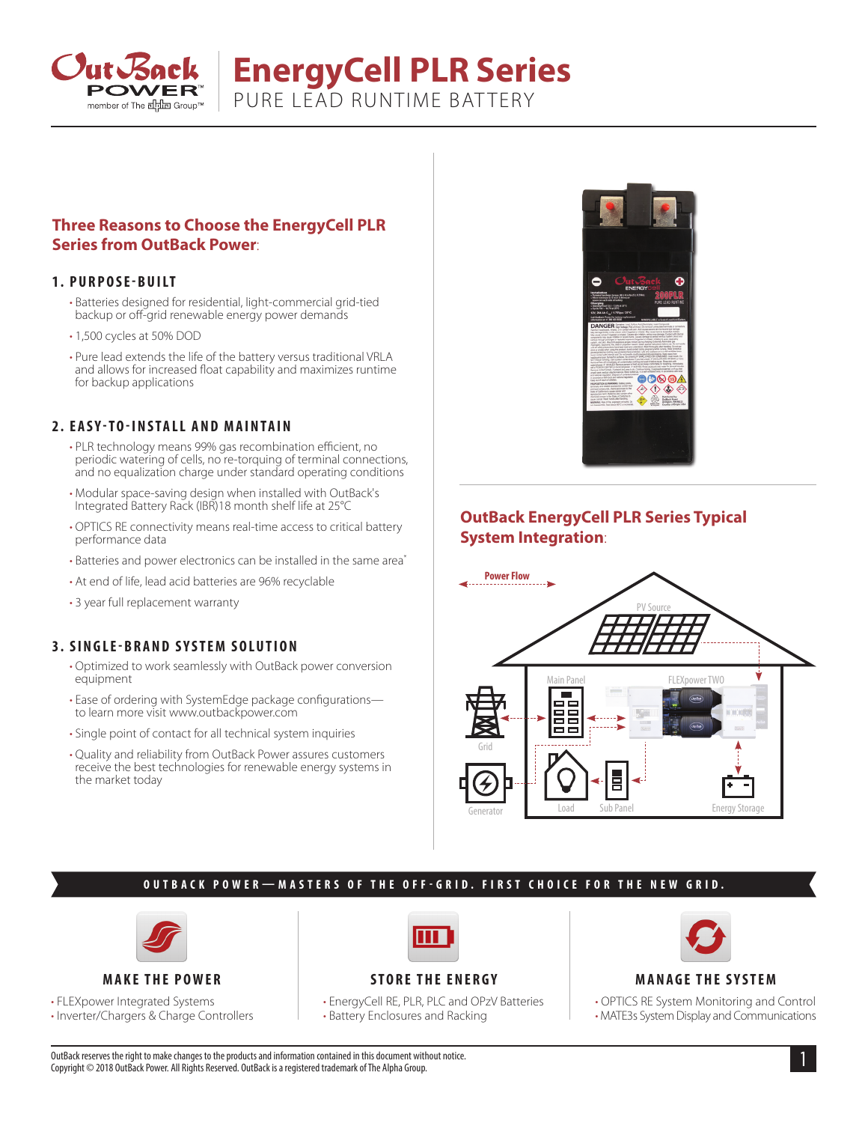

# **EnergyCell PLR Series**

PURE LEAD RUNTIME BATTERY

# **Three Reasons to Choose the EnergyCell PLR Series from OutBack Power**:

## **1. PURPOSE-BUILT**

- Batteries designed for residential, light-commercial grid-tied backup or off-grid renewable energy power demands
- 1,500 cycles at 50% DOD
- Pure lead extends the life of the battery versus traditional VRLA and allows for increased float capability and maximizes runtime for backup applications

#### **2. EASY-TO-INSTALL AND MAINTAIN**

- PLR technology means 99% gas recombination efficient, no periodic watering of cells, no re-torquing of terminal connections, and no equalization charge under standard operating conditions
- Modular space-saving design when installed with OutBack's Integrated Battery Rack (IBR)18 month shelf life at 25°C
- OPTICS RE connectivity means real-time access to critical battery performance data
- Batteries and power electronics can be installed in the same area\*
- At end of life, lead acid batteries are 96% recyclable
- 3 year full replacement warranty

## **3. SINGLE-BRAND SYSTEM SOLUTION**

- Optimized to work seamlessly with OutBack power conversion equipment
- Ease of ordering with SystemEdge package configurations to learn more visit www.outbackpower.com
- Single point of contact for all technical system inquiries
- Quality and reliability from OutBack Power assures customers receive the best technologies for renewable energy systems in the market today



# **OutBack EnergyCell PLR Series Typical System Integration**:



## **OUTBACK POWER—MASTERS OF THE OFF-GRID. FIRST CHOICE FOR THE NEW GRID.**



#### **MAKE THE POWER**

• FLEXpower Integrated Systems

• Inverter/Chargers & Charge Controllers



## **STORE THE ENERGY**

• EnergyCell RE, PLR, PLC and OPzV Batteries • Battery Enclosures and Racking



#### **MANAGE THE SYSTEM**

• OPTICS RE System Monitoring and Control • MATE3s System Display and Communications

1 OutBack reserves the right to make changes to the products and information contained in this document without notice. Copyright © 2018 OutBack Power. All Rights Reserved. OutBack is a registered trademark of The Alpha Group.